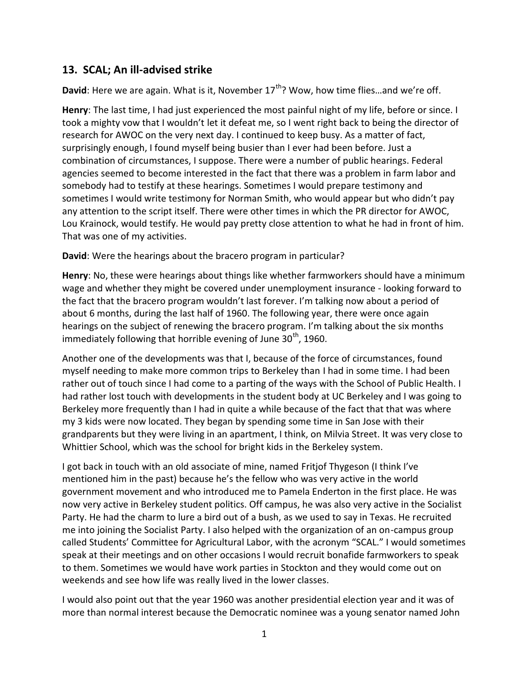## **13. SCAL; An ill-advised strike**

**David**: Here we are again. What is it, November 17<sup>th</sup>? Wow, how time flies...and we're off.

**Henry**: The last time, I had just experienced the most painful night of my life, before or since. I took a mighty vow that I wouldn't let it defeat me, so I went right back to being the director of research for AWOC on the very next day. I continued to keep busy. As a matter of fact, surprisingly enough, I found myself being busier than I ever had been before. Just a combination of circumstances, I suppose. There were a number of public hearings. Federal agencies seemed to become interested in the fact that there was a problem in farm labor and somebody had to testify at these hearings. Sometimes I would prepare testimony and sometimes I would write testimony for Norman Smith, who would appear but who didn't pay any attention to the script itself. There were other times in which the PR director for AWOC, Lou Krainock, would testify. He would pay pretty close attention to what he had in front of him. That was one of my activities.

**David**: Were the hearings about the bracero program in particular?

**Henry**: No, these were hearings about things like whether farmworkers should have a minimum wage and whether they might be covered under unemployment insurance - looking forward to the fact that the bracero program wouldn't last forever. I'm talking now about a period of about 6 months, during the last half of 1960. The following year, there were once again hearings on the subject of renewing the bracero program. I'm talking about the six months immediately following that horrible evening of June  $30<sup>th</sup>$ , 1960.

Another one of the developments was that I, because of the force of circumstances, found myself needing to make more common trips to Berkeley than I had in some time. I had been rather out of touch since I had come to a parting of the ways with the School of Public Health. I had rather lost touch with developments in the student body at UC Berkeley and I was going to Berkeley more frequently than I had in quite a while because of the fact that that was where my 3 kids were now located. They began by spending some time in San Jose with their grandparents but they were living in an apartment, I think, on Milvia Street. It was very close to Whittier School, which was the school for bright kids in the Berkeley system.

I got back in touch with an old associate of mine, named Fritjof Thygeson (I think I've mentioned him in the past) because he's the fellow who was very active in the world government movement and who introduced me to Pamela Enderton in the first place. He was now very active in Berkeley student politics. Off campus, he was also very active in the Socialist Party. He had the charm to lure a bird out of a bush, as we used to say in Texas. He recruited me into joining the Socialist Party. I also helped with the organization of an on-campus group called Students' Committee for Agricultural Labor, with the acronym "SCAL." I would sometimes speak at their meetings and on other occasions I would recruit bonafide farmworkers to speak to them. Sometimes we would have work parties in Stockton and they would come out on weekends and see how life was really lived in the lower classes.

I would also point out that the year 1960 was another presidential election year and it was of more than normal interest because the Democratic nominee was a young senator named John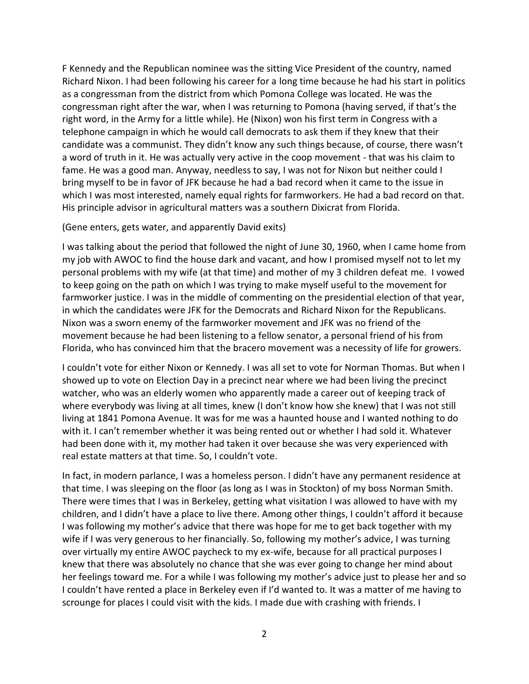F Kennedy and the Republican nominee was the sitting Vice President of the country, named Richard Nixon. I had been following his career for a long time because he had his start in politics as a congressman from the district from which Pomona College was located. He was the congressman right after the war, when I was returning to Pomona (having served, if that's the right word, in the Army for a little while). He (Nixon) won his first term in Congress with a telephone campaign in which he would call democrats to ask them if they knew that their candidate was a communist. They didn't know any such things because, of course, there wasn't a word of truth in it. He was actually very active in the coop movement - that was his claim to fame. He was a good man. Anyway, needless to say, I was not for Nixon but neither could I bring myself to be in favor of JFK because he had a bad record when it came to the issue in which I was most interested, namely equal rights for farmworkers. He had a bad record on that. His principle advisor in agricultural matters was a southern Dixicrat from Florida.

## (Gene enters, gets water, and apparently David exits)

I was talking about the period that followed the night of June 30, 1960, when I came home from my job with AWOC to find the house dark and vacant, and how I promised myself not to let my personal problems with my wife (at that time) and mother of my 3 children defeat me. I vowed to keep going on the path on which I was trying to make myself useful to the movement for farmworker justice. I was in the middle of commenting on the presidential election of that year, in which the candidates were JFK for the Democrats and Richard Nixon for the Republicans. Nixon was a sworn enemy of the farmworker movement and JFK was no friend of the movement because he had been listening to a fellow senator, a personal friend of his from Florida, who has convinced him that the bracero movement was a necessity of life for growers.

I couldn't vote for either Nixon or Kennedy. I was all set to vote for Norman Thomas. But when I showed up to vote on Election Day in a precinct near where we had been living the precinct watcher, who was an elderly women who apparently made a career out of keeping track of where everybody was living at all times, knew (I don't know how she knew) that I was not still living at 1841 Pomona Avenue. It was for me was a haunted house and I wanted nothing to do with it. I can't remember whether it was being rented out or whether I had sold it. Whatever had been done with it, my mother had taken it over because she was very experienced with real estate matters at that time. So, I couldn't vote.

In fact, in modern parlance, I was a homeless person. I didn't have any permanent residence at that time. I was sleeping on the floor (as long as I was in Stockton) of my boss Norman Smith. There were times that I was in Berkeley, getting what visitation I was allowed to have with my children, and I didn't have a place to live there. Among other things, I couldn't afford it because I was following my mother's advice that there was hope for me to get back together with my wife if I was very generous to her financially. So, following my mother's advice, I was turning over virtually my entire AWOC paycheck to my ex-wife, because for all practical purposes I knew that there was absolutely no chance that she was ever going to change her mind about her feelings toward me. For a while I was following my mother's advice just to please her and so I couldn't have rented a place in Berkeley even if I'd wanted to. It was a matter of me having to scrounge for places I could visit with the kids. I made due with crashing with friends. I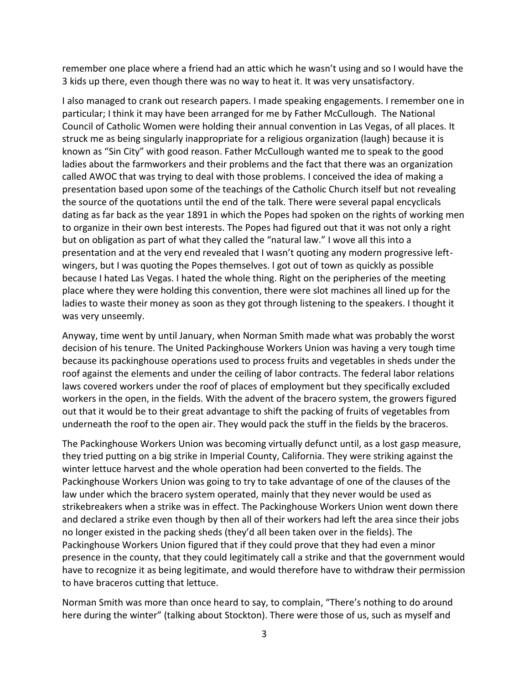remember one place where a friend had an attic which he wasn't using and so I would have the 3 kids up there, even though there was no way to heat it. It was very unsatisfactory.

I also managed to crank out research papers. I made speaking engagements. I remember one in particular; I think it may have been arranged for me by Father McCullough. The National Council of Catholic Women were holding their annual convention in Las Vegas, of all places. It struck me as being singularly inappropriate for a religious organization (laugh) because it is known as "Sin City" with good reason. Father McCullough wanted me to speak to the good ladies about the farmworkers and their problems and the fact that there was an organization called AWOC that was trying to deal with those problems. I conceived the idea of making a presentation based upon some of the teachings of the Catholic Church itself but not revealing the source of the quotations until the end of the talk. There were several papal encyclicals dating as far back as the year 1891 in which the Popes had spoken on the rights of working men to organize in their own best interests. The Popes had figured out that it was not only a right but on obligation as part of what they called the "natural law." I wove all this into a presentation and at the very end revealed that I wasn't quoting any modern progressive left wingers, but I was quoting the Popes themselves. I got out of town as quickly as possible because I hated Las Vegas. I hated the whole thing. Right on the peripheries of the meeting place where they were holding this convention, there were slot machines all lined up for the ladies to waste their money as soon as they got through listening to the speakers. I thought it was very unseemly.

Anyway, time went by until January, when Norman Smith made what was probably the worst decision of his tenure. The United Packinghouse Workers Union was having a very tough time because its packinghouse operations used to process fruits and vegetables in sheds under the roof against the elements and under the ceiling of labor contracts. The federal labor relations laws covered workers under the roof of places of employment but they specifically excluded workers in the open, in the fields. With the advent of the bracero system, the growers figured out that it would be to their great advantage to shift the packing of fruits of vegetables from underneath the roof to the open air. They would pack the stuff in the fields by the braceros.

The Packinghouse Workers Union was becoming virtually defunct until, as a lost gasp measure, they tried putting on a big strike in Imperial County, California. They were striking against the winter lettuce harvest and the whole operation had been converted to the fields. The Packinghouse Workers Union was going to try to take advantage of one of the clauses of the law under which the bracero system operated, mainly that they never would be used as strikebreakers when a strike was in effect. The Packinghouse Workers Union went down there and declared a strike even though by then all of their workers had left the area since their jobs no longer existed in the packing sheds (they'd all been taken over in the fields). The Packinghouse Workers Union figured that if they could prove that they had even a minor presence in the county, that they could legitimately call a strike and that the government would have to recognize it as being legitimate, and would therefore have to withdraw their permission to have braceros cutting that lettuce.

Norman Smith was more than once heard to say, to complain, "There's nothing to do around here during the winter" (talking about Stockton). There were those of us, such as myself and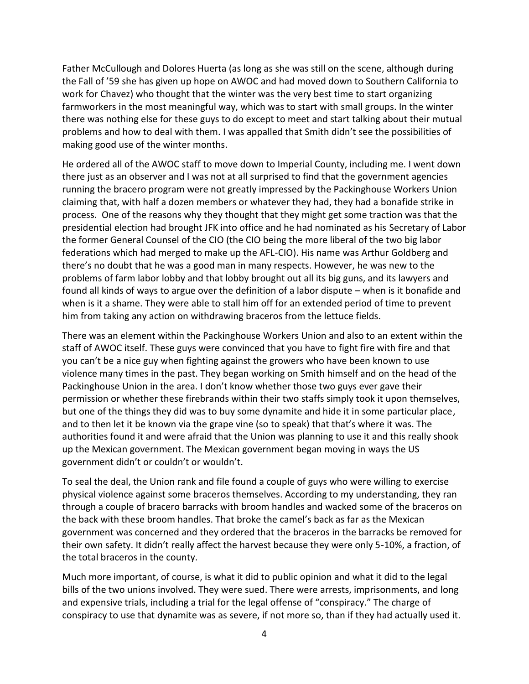Father McCullough and Dolores Huerta (as long as she was still on the scene, although during the Fall of '59 she has given up hope on AWOC and had moved down to Southern California to work for Chavez) who thought that the winter was the very best time to start organizing farmworkers in the most meaningful way, which was to start with small groups. In the winter there was nothing else for these guys to do except to meet and start talking about their mutual problems and how to deal with them. I was appalled that Smith didn't see the possibilities of making good use of the winter months.

He ordered all of the AWOC staff to move down to Imperial County, including me. I went down there just as an observer and I was not at all surprised to find that the government agencies running the bracero program were not greatly impressed by the Packinghouse Workers Union claiming that, with half a dozen members or whatever they had, they had a bonafide strike in process. One of the reasons why they thought that they might get some traction was that the presidential election had brought JFK into office and he had nominated as his Secretary of Labor the former General Counsel of the CIO (the CIO being the more liberal of the two big labor federations which had merged to make up the AFL-CIO). His name was Arthur Goldberg and there's no doubt that he was a good man in many respects. However, he was new to the problems of farm labor lobby and that lobby brought out all its big guns, and its lawyers and found all kinds of ways to argue over the definition of a labor dispute – when is it bonafide and when is it a shame. They were able to stall him off for an extended period of time to prevent him from taking any action on withdrawing braceros from the lettuce fields.

There was an element within the Packinghouse Workers Union and also to an extent within the staff of AWOC itself. These guys were convinced that you have to fight fire with fire and that you can't be a nice guy when fighting against the growers who have been known to use violence many times in the past. They began working on Smith himself and on the head of the Packinghouse Union in the area. I don't know whether those two guys ever gave their permission or whether these firebrands within their two staffs simply took it upon themselves, but one of the things they did was to buy some dynamite and hide it in some particular place, and to then let it be known via the grape vine (so to speak) that that's where it was. The authorities found it and were afraid that the Union was planning to use it and this really shook up the Mexican government. The Mexican government began moving in ways the US government didn't or couldn't or wouldn't.

To seal the deal, the Union rank and file found a couple of guys who were willing to exercise physical violence against some braceros themselves. According to my understanding, they ran through a couple of bracero barracks with broom handles and wacked some of the braceros on the back with these broom handles. That broke the camel's back as far as the Mexican government was concerned and they ordered that the braceros in the barracks be removed for their own safety. It didn't really affect the harvest because they were only 5-10%, a fraction, of the total braceros in the county.

Much more important, of course, is what it did to public opinion and what it did to the legal bills of the two unions involved. They were sued. There were arrests, imprisonments, and long and expensive trials, including a trial for the legal offense of "conspiracy." The charge of conspiracy to use that dynamite was as severe, if not more so, than if they had actually used it.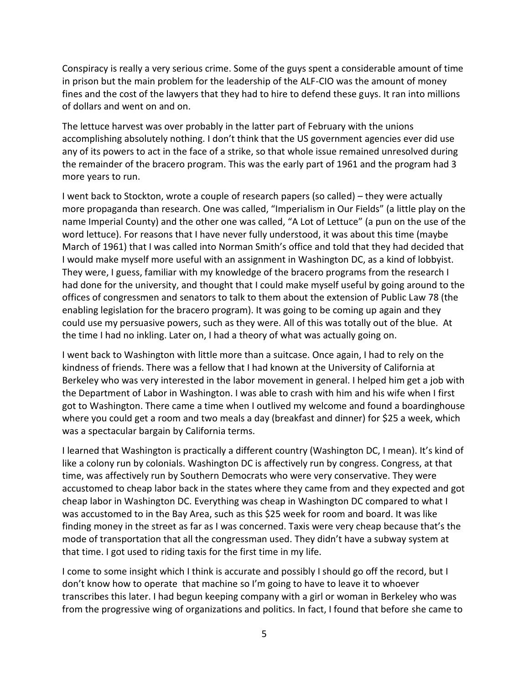Conspiracy is really a very serious crime. Some of the guys spent a considerable amount of time in prison but the main problem for the leadership of the ALF-CIO was the amount of money fines and the cost of the lawyers that they had to hire to defend these guys. It ran into millions of dollars and went on and on.

The lettuce harvest was over probably in the latter part of February with the unions accomplishing absolutely nothing. I don't think that the US government agencies ever did use any of its powers to act in the face of a strike, so that whole issue remained unresolved during the remainder of the bracero program. This was the early part of 1961 and the program had 3 more years to run.

I went back to Stockton, wrote a couple of research papers (so called) – they were actually more propaganda than research. One was called, "Imperialism in Our Fields" (a little play on the name Imperial County) and the other one was called, "A Lot of Lettuce" (a pun on the use of the word lettuce). For reasons that I have never fully understood, it was about this time (maybe March of 1961) that I was called into Norman Smith's office and told that they had decided that I would make myself more useful with an assignment in Washington DC, as a kind of lobbyist. They were, I guess, familiar with my knowledge of the bracero programs from the research I had done for the university, and thought that I could make myself useful by going around to the offices of congressmen and senators to talk to them about the extension of Public Law 78 (the enabling legislation for the bracero program). It was going to be coming up again and they could use my persuasive powers, such as they were. All of this was totally out of the blue. At the time I had no inkling. Later on, I had a theory of what was actually going on.

I went back to Washington with little more than a suitcase. Once again, I had to rely on the kindness of friends. There was a fellow that I had known at the University of California at Berkeley who was very interested in the labor movement in general. I helped him get a job with the Department of Labor in Washington. I was able to crash with him and his wife when I first got to Washington. There came a time when I outlived my welcome and found a boardinghouse where you could get a room and two meals a day (breakfast and dinner) for \$25 a week, which was a spectacular bargain by California terms.

I learned that Washington is practically a different country (Washington DC, I mean). It's kind of like a colony run by colonials. Washington DC is affectively run by congress. Congress, at that time, was affectively run by Southern Democrats who were very conservative. They were accustomed to cheap labor back in the states where they came from and they expected and got cheap labor in Washington DC. Everything was cheap in Washington DC compared to what I was accustomed to in the Bay Area, such as this \$25 week for room and board. It was like finding money in the street as far as I was concerned. Taxis were very cheap because that's the mode of transportation that all the congressman used. They didn't have a subway system at that time. I got used to riding taxis for the first time in my life.

I come to some insight which I think is accurate and possibly I should go off the record, but I don't know how to operate that machine so I'm going to have to leave it to whoever transcribes this later. I had begun keeping company with a girl or woman in Berkeley who was from the progressive wing of organizations and politics. In fact, I found that before she came to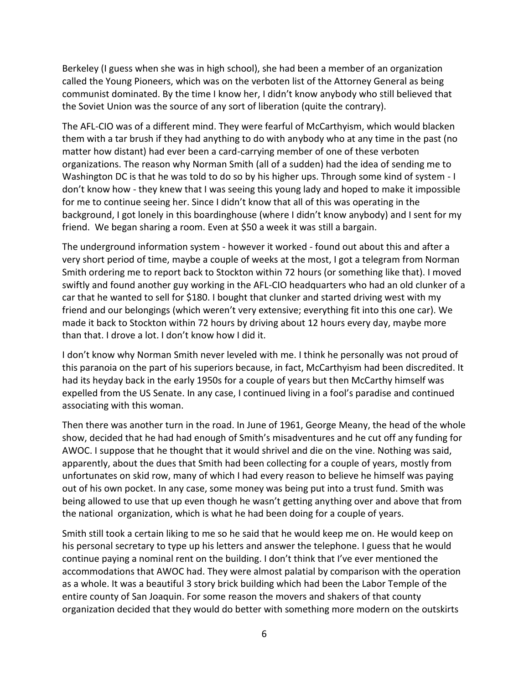Berkeley (I guess when she was in high school), she had been a member of an organization called the Young Pioneers, which was on the verboten list of the Attorney General as being communist dominated. By the time I know her, I didn't know anybody who still believed that the Soviet Union was the source of any sort of liberation (quite the contrary).

The AFL-CIO was of a different mind. They were fearful of McCarthyism, which would blacken them with a tar brush if they had anything to do with anybody who at any time in the past (no matter how distant) had ever been a card-carrying member of one of these verboten organizations. The reason why Norman Smith (all of a sudden) had the idea of sending me to Washington DC is that he was told to do so by his higher ups. Through some kind of system - I don't know how - they knew that I was seeing this young lady and hoped to make it impossible for me to continue seeing her. Since I didn't know that all of this was operating in the background, I got lonely in this boardinghouse (where I didn't know anybody) and I sent for my friend. We began sharing a room. Even at \$50 a week it was still a bargain.

The underground information system - however it worked - found out about this and after a very short period of time, maybe a couple of weeks at the most, I got a telegram from Norman Smith ordering me to report back to Stockton within 72 hours (or something like that). I moved swiftly and found another guy working in the AFL-CIO headquarters who had an old clunker of a car that he wanted to sell for \$180. I bought that clunker and started driving west with my friend and our belongings (which weren't very extensive; everything fit into this one car). We made it back to Stockton within 72 hours by driving about 12 hours every day, maybe more than that. I drove a lot. I don't know how I did it.

I don't know why Norman Smith never leveled with me. I think he personally was not proud of this paranoia on the part of his superiors because, in fact, McCarthyism had been discredited. It had its heyday back in the early 1950s for a couple of years but then McCarthy himself was expelled from the US Senate. In any case, I continued living in a fool's paradise and continued associating with this woman.

Then there was another turn in the road. In June of 1961, George Meany, the head of the whole show, decided that he had had enough of Smith's misadventures and he cut off any funding for AWOC. I suppose that he thought that it would shrivel and die on the vine. Nothing was said, apparently, about the dues that Smith had been collecting for a couple of years, mostly from unfortunates on skid row, many of which I had every reason to believe he himself was paying out of his own pocket. In any case, some money was being put into a trust fund. Smith was being allowed to use that up even though he wasn't getting anything over and above that from the national organization, which is what he had been doing for a couple of years.

Smith still took a certain liking to me so he said that he would keep me on. He would keep on his personal secretary to type up his letters and answer the telephone. I guess that he would continue paying a nominal rent on the building. I don't think that I've ever mentioned the accommodations that AWOC had. They were almost palatial by comparison with the operation as a whole. It was a beautiful 3 story brick building which had been the Labor Temple of the entire county of San Joaquin. For some reason the movers and shakers of that county organization decided that they would do better with something more modern on the outskirts